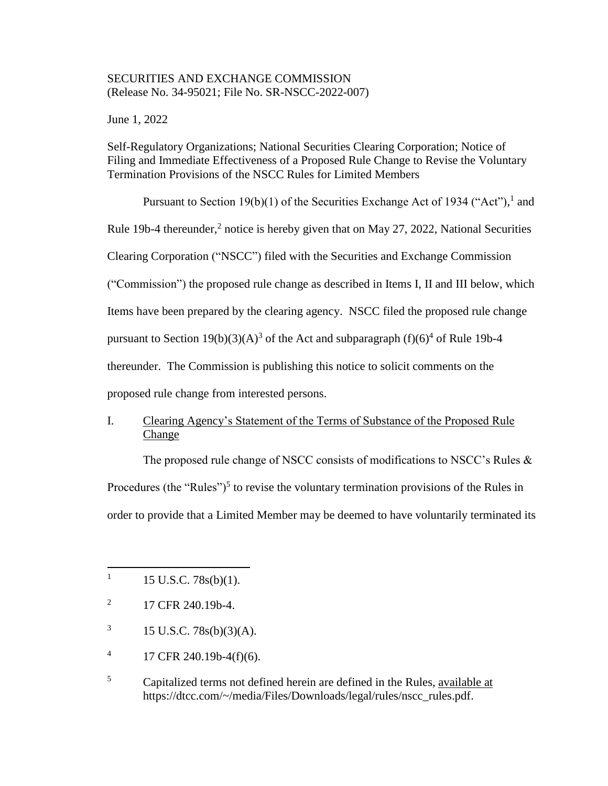## SECURITIES AND EXCHANGE COMMISSION (Release No. 34-95021; File No. SR-NSCC-2022-007)

June 1, 2022

Self-Regulatory Organizations; National Securities Clearing Corporation; Notice of Filing and Immediate Effectiveness of a Proposed Rule Change to Revise the Voluntary Termination Provisions of the NSCC Rules for Limited Members

Pursuant to Section 19(b)(1) of the Securities Exchange Act of 1934 ("Act"), and Rule 19b-4 thereunder,<sup>2</sup> notice is hereby given that on May 27, 2022, National Securities Clearing Corporation ("NSCC") filed with the Securities and Exchange Commission ("Commission") the proposed rule change as described in Items I, II and III below, which Items have been prepared by the clearing agency. NSCC filed the proposed rule change pursuant to Section 19(b)(3)(A)<sup>3</sup> of the Act and subparagraph (f)(6)<sup>4</sup> of Rule 19b-4 thereunder. The Commission is publishing this notice to solicit comments on the proposed rule change from interested persons.

# I. Clearing Agency's Statement of the Terms of Substance of the Proposed Rule **Change**

The proposed rule change of NSCC consists of modifications to NSCC's Rules & Procedures (the "Rules")<sup>5</sup> to revise the voluntary termination provisions of the Rules in order to provide that a Limited Member may be deemed to have voluntarily terminated its

 $\overline{\phantom{a}}$ 

- 2 17 CFR 240.19b-4.
- 3 15 U.S.C. 78s(b)(3)(A).
- 4 17 CFR 240.19b-4(f)(6).
- <sup>5</sup> Capitalized terms not defined herein are defined in the Rules, available at https://dtcc.com/~/media/Files/Downloads/legal/rules/nscc\_rules.pdf.

<sup>1</sup> 15 U.S.C. 78s(b)(1).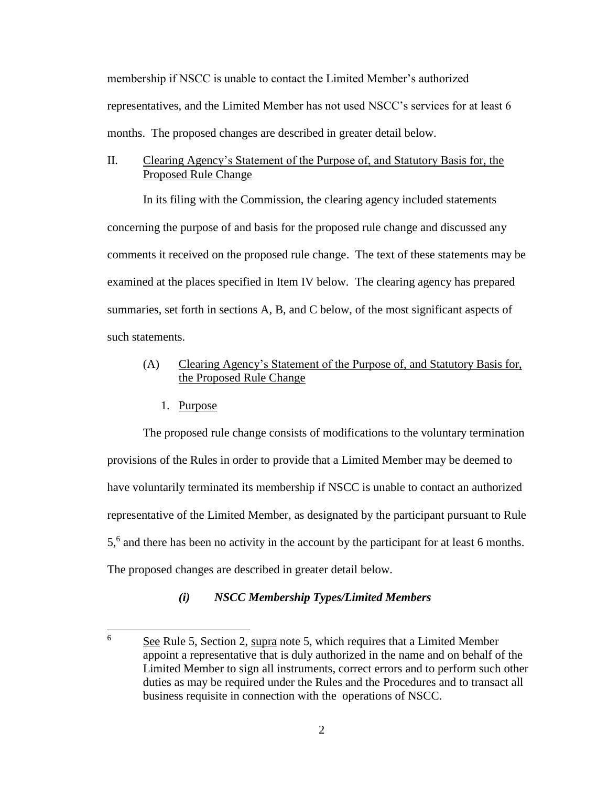membership if NSCC is unable to contact the Limited Member's authorized representatives, and the Limited Member has not used NSCC's services for at least 6 months. The proposed changes are described in greater detail below.

## II. Clearing Agency's Statement of the Purpose of, and Statutory Basis for, the Proposed Rule Change

In its filing with the Commission, the clearing agency included statements concerning the purpose of and basis for the proposed rule change and discussed any comments it received on the proposed rule change. The text of these statements may be examined at the places specified in Item IV below. The clearing agency has prepared summaries, set forth in sections A, B, and C below, of the most significant aspects of such statements.

# (A) Clearing Agency's Statement of the Purpose of, and Statutory Basis for, the Proposed Rule Change

1. Purpose

The proposed rule change consists of modifications to the voluntary termination provisions of the Rules in order to provide that a Limited Member may be deemed to have voluntarily terminated its membership if NSCC is unable to contact an authorized representative of the Limited Member, as designated by the participant pursuant to Rule 5,6 and there has been no activity in the account by the participant for at least 6 months. The proposed changes are described in greater detail below.

# *(i) NSCC Membership Types/Limited Members*

 $\epsilon$ <sup>6</sup> See Rule 5, Section 2, supra note 5, which requires that a Limited Member appoint a representative that is duly authorized in the name and on behalf of the Limited Member to sign all instruments, correct errors and to perform such other duties as may be required under the Rules and the Procedures and to transact all business requisite in connection with the operations of NSCC.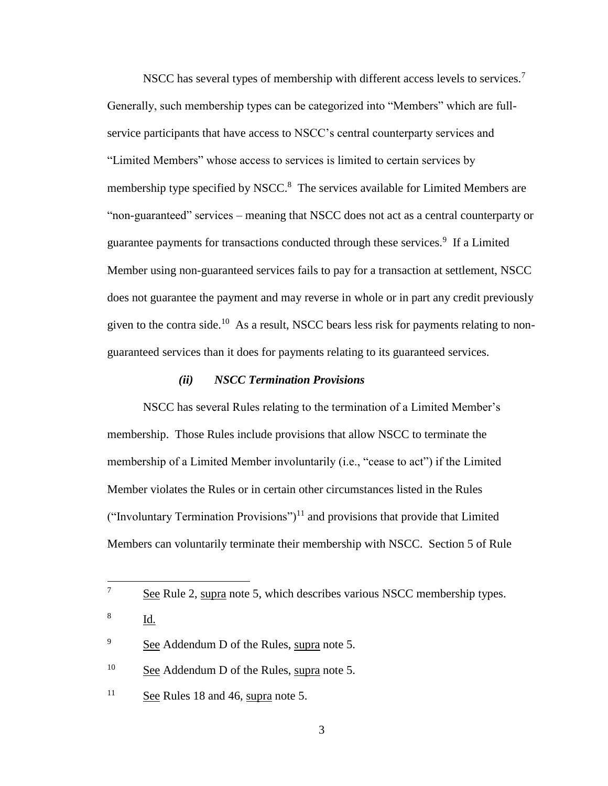NSCC has several types of membership with different access levels to services.<sup>7</sup> Generally, such membership types can be categorized into "Members" which are fullservice participants that have access to NSCC's central counterparty services and "Limited Members" whose access to services is limited to certain services by membership type specified by NSCC.<sup>8</sup> The services available for Limited Members are "non-guaranteed" services – meaning that NSCC does not act as a central counterparty or guarantee payments for transactions conducted through these services.<sup>9</sup> If a Limited Member using non-guaranteed services fails to pay for a transaction at settlement, NSCC does not guarantee the payment and may reverse in whole or in part any credit previously given to the contra side.<sup>10</sup> As a result, NSCC bears less risk for payments relating to nonguaranteed services than it does for payments relating to its guaranteed services.

#### *(ii) NSCC Termination Provisions*

NSCC has several Rules relating to the termination of a Limited Member's membership. Those Rules include provisions that allow NSCC to terminate the membership of a Limited Member involuntarily (i.e., "cease to act") if the Limited Member violates the Rules or in certain other circumstances listed in the Rules ("Involuntary Termination Provisions")<sup>11</sup> and provisions that provide that Limited Members can voluntarily terminate their membership with NSCC. Section 5 of Rule

 $10$  See Addendum D of the Rules, supra note 5.

 $\overline{7}$ See Rule 2, supra note 5, which describes various NSCC membership types.

<sup>8</sup> Id.

<sup>9</sup> See Addendum D of the Rules, supra note 5.

<sup>&</sup>lt;sup>11</sup> See Rules 18 and 46, supra note 5.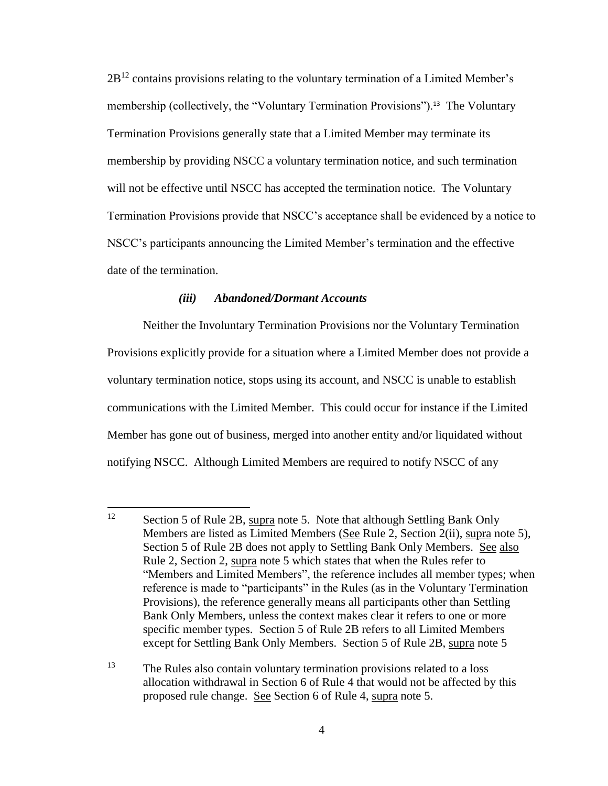$2B<sup>12</sup>$  contains provisions relating to the voluntary termination of a Limited Member's membership (collectively, the "Voluntary Termination Provisions").<sup>13</sup> The Voluntary Termination Provisions generally state that a Limited Member may terminate its membership by providing NSCC a voluntary termination notice, and such termination will not be effective until NSCC has accepted the termination notice. The Voluntary Termination Provisions provide that NSCC's acceptance shall be evidenced by a notice to NSCC's participants announcing the Limited Member's termination and the effective date of the termination.

#### *(iii) Abandoned/Dormant Accounts*

Neither the Involuntary Termination Provisions nor the Voluntary Termination Provisions explicitly provide for a situation where a Limited Member does not provide a voluntary termination notice, stops using its account, and NSCC is unable to establish communications with the Limited Member. This could occur for instance if the Limited Member has gone out of business, merged into another entity and/or liquidated without notifying NSCC. Although Limited Members are required to notify NSCC of any

<sup>12</sup> Section 5 of Rule 2B, supra note 5. Note that although Settling Bank Only Members are listed as Limited Members (See Rule 2, Section 2(ii), supra note 5), Section 5 of Rule 2B does not apply to Settling Bank Only Members. See also Rule 2, Section 2, supra note 5 which states that when the Rules refer to "Members and Limited Members", the reference includes all member types; when reference is made to "participants" in the Rules (as in the Voluntary Termination Provisions), the reference generally means all participants other than Settling Bank Only Members, unless the context makes clear it refers to one or more specific member types. Section 5 of Rule 2B refers to all Limited Members except for Settling Bank Only Members. Section 5 of Rule 2B, supra note 5

<sup>&</sup>lt;sup>13</sup> The Rules also contain voluntary termination provisions related to a loss allocation withdrawal in Section 6 of Rule 4 that would not be affected by this proposed rule change. See Section 6 of Rule 4, supra note 5.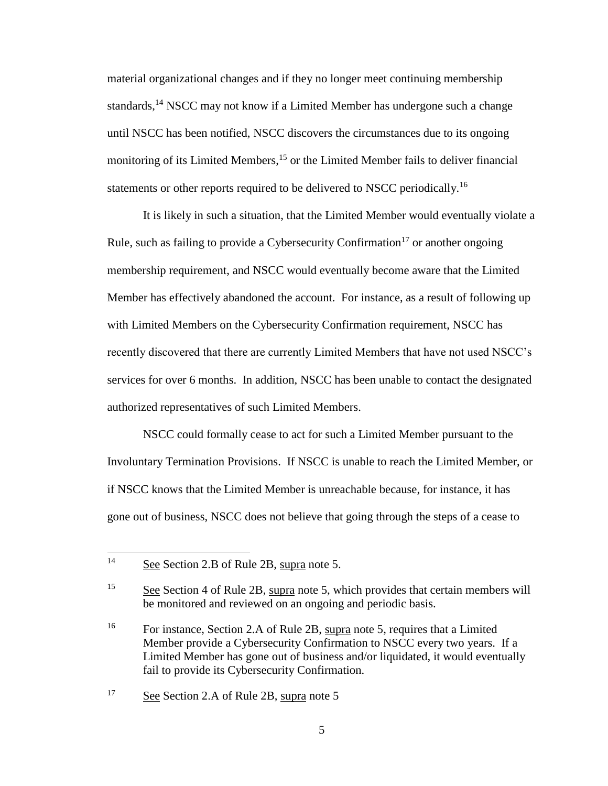material organizational changes and if they no longer meet continuing membership standards,<sup>14</sup> NSCC may not know if a Limited Member has undergone such a change until NSCC has been notified, NSCC discovers the circumstances due to its ongoing monitoring of its Limited Members,<sup>15</sup> or the Limited Member fails to deliver financial statements or other reports required to be delivered to NSCC periodically.<sup>16</sup>

It is likely in such a situation, that the Limited Member would eventually violate a Rule, such as failing to provide a Cybersecurity Confirmation<sup>17</sup> or another ongoing membership requirement, and NSCC would eventually become aware that the Limited Member has effectively abandoned the account. For instance, as a result of following up with Limited Members on the Cybersecurity Confirmation requirement, NSCC has recently discovered that there are currently Limited Members that have not used NSCC's services for over 6 months. In addition, NSCC has been unable to contact the designated authorized representatives of such Limited Members.

NSCC could formally cease to act for such a Limited Member pursuant to the Involuntary Termination Provisions. If NSCC is unable to reach the Limited Member, or if NSCC knows that the Limited Member is unreachable because, for instance, it has gone out of business, NSCC does not believe that going through the steps of a cease to

 $14$ See Section 2.B of Rule 2B, supra note 5.

<sup>15</sup> See Section 4 of Rule 2B, supra note 5, which provides that certain members will be monitored and reviewed on an ongoing and periodic basis.

<sup>&</sup>lt;sup>16</sup> For instance, Section 2.A of Rule 2B, supra note 5, requires that a Limited Member provide a Cybersecurity Confirmation to NSCC every two years. If a Limited Member has gone out of business and/or liquidated, it would eventually fail to provide its Cybersecurity Confirmation.

<sup>&</sup>lt;sup>17</sup> See Section 2.A of Rule 2B, supra note 5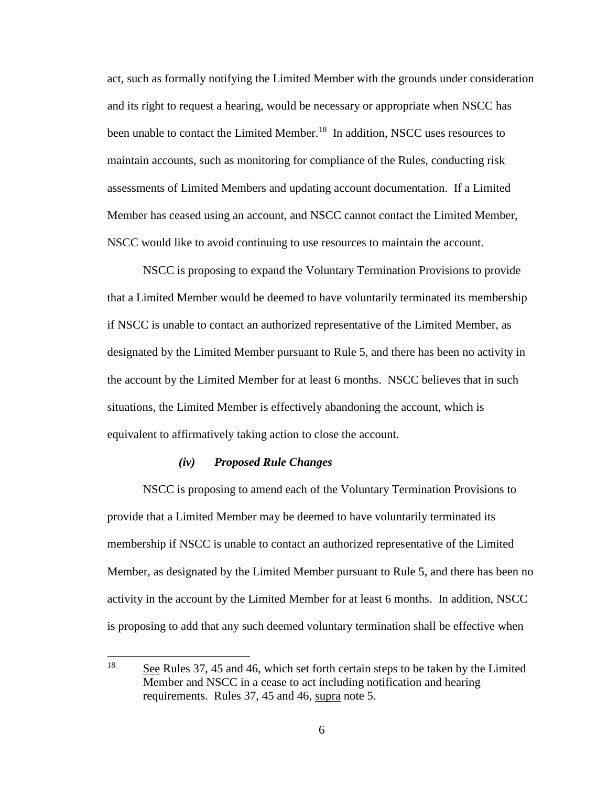act, such as formally notifying the Limited Member with the grounds under consideration and its right to request a hearing, would be necessary or appropriate when NSCC has been unable to contact the Limited Member.<sup>18</sup> In addition, NSCC uses resources to maintain accounts, such as monitoring for compliance of the Rules, conducting risk assessments of Limited Members and updating account documentation. If a Limited Member has ceased using an account, and NSCC cannot contact the Limited Member, NSCC would like to avoid continuing to use resources to maintain the account.

NSCC is proposing to expand the Voluntary Termination Provisions to provide that a Limited Member would be deemed to have voluntarily terminated its membership if NSCC is unable to contact an authorized representative of the Limited Member, as designated by the Limited Member pursuant to Rule 5, and there has been no activity in the account by the Limited Member for at least 6 months. NSCC believes that in such situations, the Limited Member is effectively abandoning the account, which is equivalent to affirmatively taking action to close the account.

### *(iv) Proposed Rule Changes*

NSCC is proposing to amend each of the Voluntary Termination Provisions to provide that a Limited Member may be deemed to have voluntarily terminated its membership if NSCC is unable to contact an authorized representative of the Limited Member, as designated by the Limited Member pursuant to Rule 5, and there has been no activity in the account by the Limited Member for at least 6 months. In addition, NSCC is proposing to add that any such deemed voluntary termination shall be effective when

<sup>18</sup> See Rules 37, 45 and 46, which set forth certain steps to be taken by the Limited Member and NSCC in a cease to act including notification and hearing requirements. Rules 37, 45 and 46, supra note 5.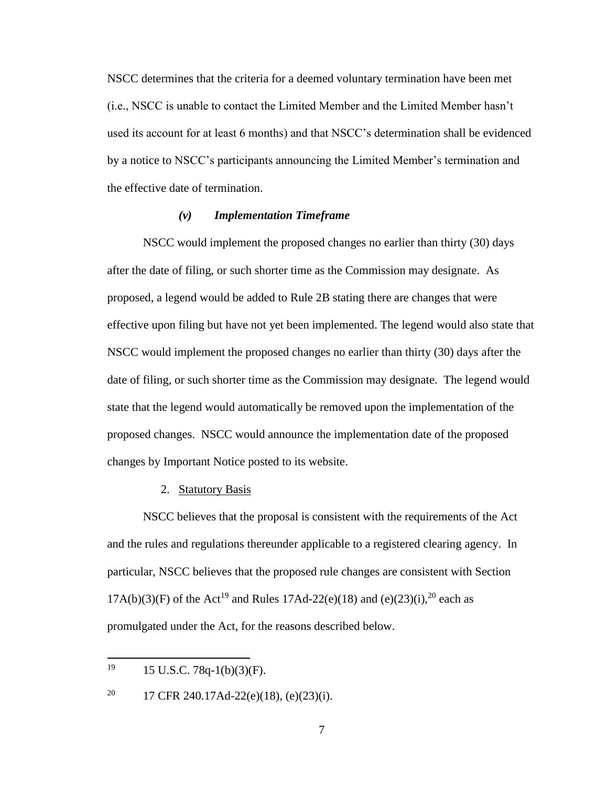NSCC determines that the criteria for a deemed voluntary termination have been met (i.e., NSCC is unable to contact the Limited Member and the Limited Member hasn't used its account for at least 6 months) and that NSCC's determination shall be evidenced by a notice to NSCC's participants announcing the Limited Member's termination and the effective date of termination.

### *(v) Implementation Timeframe*

NSCC would implement the proposed changes no earlier than thirty (30) days after the date of filing, or such shorter time as the Commission may designate. As proposed, a legend would be added to Rule 2B stating there are changes that were effective upon filing but have not yet been implemented. The legend would also state that NSCC would implement the proposed changes no earlier than thirty (30) days after the date of filing, or such shorter time as the Commission may designate. The legend would state that the legend would automatically be removed upon the implementation of the proposed changes. NSCC would announce the implementation date of the proposed changes by Important Notice posted to its website.

#### 2. Statutory Basis

NSCC believes that the proposal is consistent with the requirements of the Act and the rules and regulations thereunder applicable to a registered clearing agency. In particular, NSCC believes that the proposed rule changes are consistent with Section 17A(b)(3)(F) of the Act<sup>19</sup> and Rules 17Ad-22(e)(18) and (e)(23)(i),<sup>20</sup> each as promulgated under the Act, for the reasons described below.

<sup>19</sup> <sup>19</sup> 15 U.S.C. 78q-1(b)(3)(F).

<sup>&</sup>lt;sup>20</sup> 17 CFR 240.17Ad-22(e)(18), (e)(23)(i).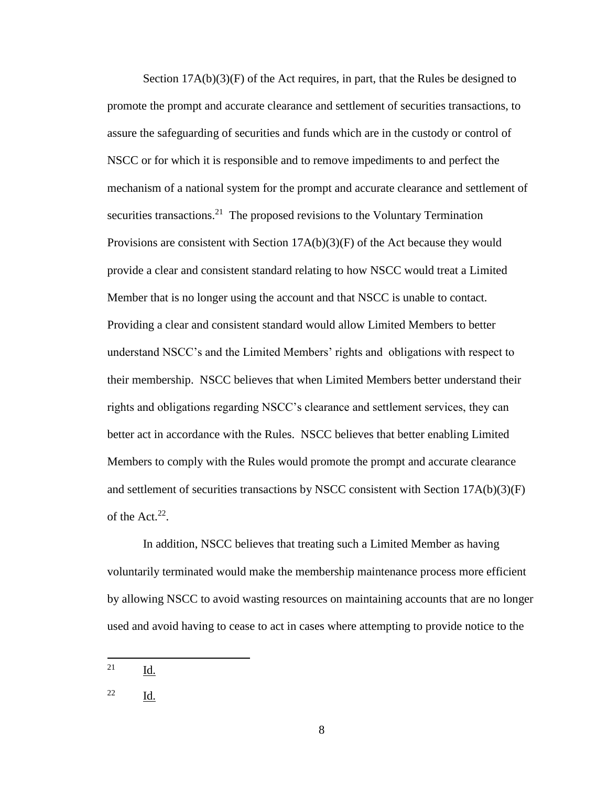Section  $17A(b)(3)(F)$  of the Act requires, in part, that the Rules be designed to promote the prompt and accurate clearance and settlement of securities transactions, to assure the safeguarding of securities and funds which are in the custody or control of NSCC or for which it is responsible and to remove impediments to and perfect the mechanism of a national system for the prompt and accurate clearance and settlement of securities transactions.<sup>21</sup> The proposed revisions to the Voluntary Termination Provisions are consistent with Section  $17A(b)(3)(F)$  of the Act because they would provide a clear and consistent standard relating to how NSCC would treat a Limited Member that is no longer using the account and that NSCC is unable to contact. Providing a clear and consistent standard would allow Limited Members to better understand NSCC's and the Limited Members' rights and obligations with respect to their membership. NSCC believes that when Limited Members better understand their rights and obligations regarding NSCC's clearance and settlement services, they can better act in accordance with the Rules. NSCC believes that better enabling Limited Members to comply with the Rules would promote the prompt and accurate clearance and settlement of securities transactions by NSCC consistent with Section  $17A(b)(3)(F)$ of the Act. $22$ .

In addition, NSCC believes that treating such a Limited Member as having voluntarily terminated would make the membership maintenance process more efficient by allowing NSCC to avoid wasting resources on maintaining accounts that are no longer used and avoid having to cease to act in cases where attempting to provide notice to the

<sup>21</sup> Id.

<sup>22</sup> Id.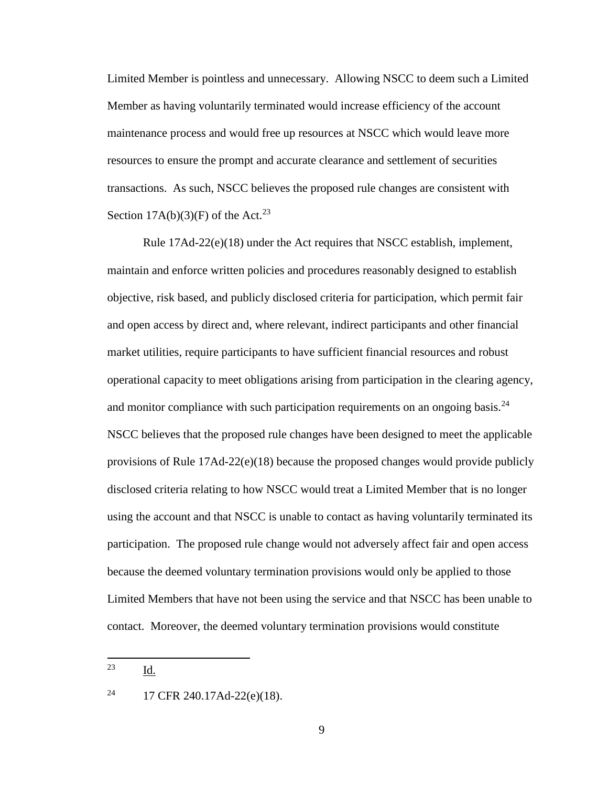Limited Member is pointless and unnecessary. Allowing NSCC to deem such a Limited Member as having voluntarily terminated would increase efficiency of the account maintenance process and would free up resources at NSCC which would leave more resources to ensure the prompt and accurate clearance and settlement of securities transactions. As such, NSCC believes the proposed rule changes are consistent with Section  $17A(b)(3)(F)$  of the Act.<sup>23</sup>

Rule 17Ad-22(e)(18) under the Act requires that NSCC establish, implement, maintain and enforce written policies and procedures reasonably designed to establish objective, risk based, and publicly disclosed criteria for participation, which permit fair and open access by direct and, where relevant, indirect participants and other financial market utilities, require participants to have sufficient financial resources and robust operational capacity to meet obligations arising from participation in the clearing agency, and monitor compliance with such participation requirements on an ongoing basis. $^{24}$ NSCC believes that the proposed rule changes have been designed to meet the applicable provisions of Rule 17Ad-22(e)(18) because the proposed changes would provide publicly disclosed criteria relating to how NSCC would treat a Limited Member that is no longer using the account and that NSCC is unable to contact as having voluntarily terminated its participation. The proposed rule change would not adversely affect fair and open access because the deemed voluntary termination provisions would only be applied to those Limited Members that have not been using the service and that NSCC has been unable to contact. Moreover, the deemed voluntary termination provisions would constitute

<sup>23</sup> Id.

<sup>&</sup>lt;sup>24</sup> 17 CFR 240.17Ad-22(e)(18).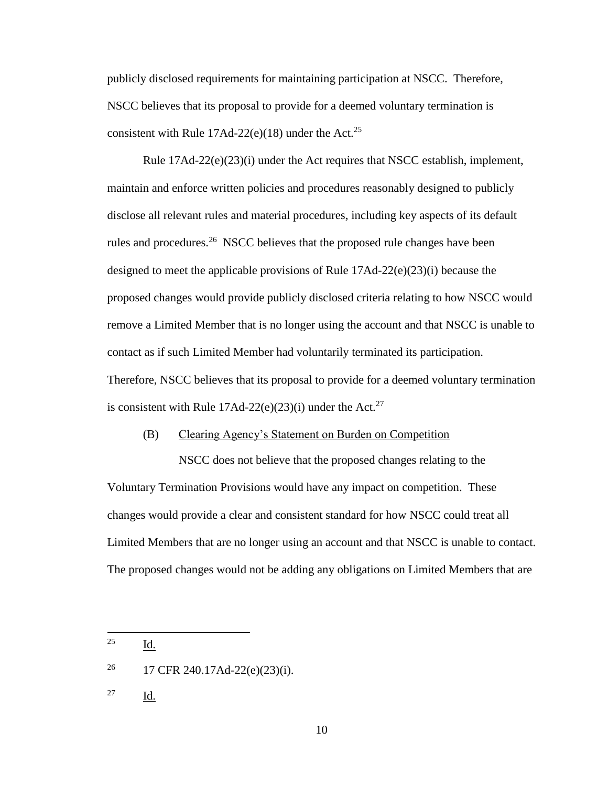publicly disclosed requirements for maintaining participation at NSCC. Therefore, NSCC believes that its proposal to provide for a deemed voluntary termination is consistent with Rule  $17$ Ad-22(e)(18) under the Act.<sup>25</sup>

Rule 17Ad-22(e)(23)(i) under the Act requires that NSCC establish, implement, maintain and enforce written policies and procedures reasonably designed to publicly disclose all relevant rules and material procedures, including key aspects of its default rules and procedures.<sup>26</sup> NSCC believes that the proposed rule changes have been designed to meet the applicable provisions of Rule  $17Ad-22(e)(23)(i)$  because the proposed changes would provide publicly disclosed criteria relating to how NSCC would remove a Limited Member that is no longer using the account and that NSCC is unable to contact as if such Limited Member had voluntarily terminated its participation. Therefore, NSCC believes that its proposal to provide for a deemed voluntary termination is consistent with Rule  $17$ Ad- $22(e)(23)(i)$  under the Act.<sup>27</sup>

### (B) Clearing Agency's Statement on Burden on Competition

NSCC does not believe that the proposed changes relating to the Voluntary Termination Provisions would have any impact on competition. These changes would provide a clear and consistent standard for how NSCC could treat all Limited Members that are no longer using an account and that NSCC is unable to contact. The proposed changes would not be adding any obligations on Limited Members that are

25 Id.

<sup>26</sup> 17 CFR 240.17Ad-22(e)(23)(i).

<sup>27</sup> Id.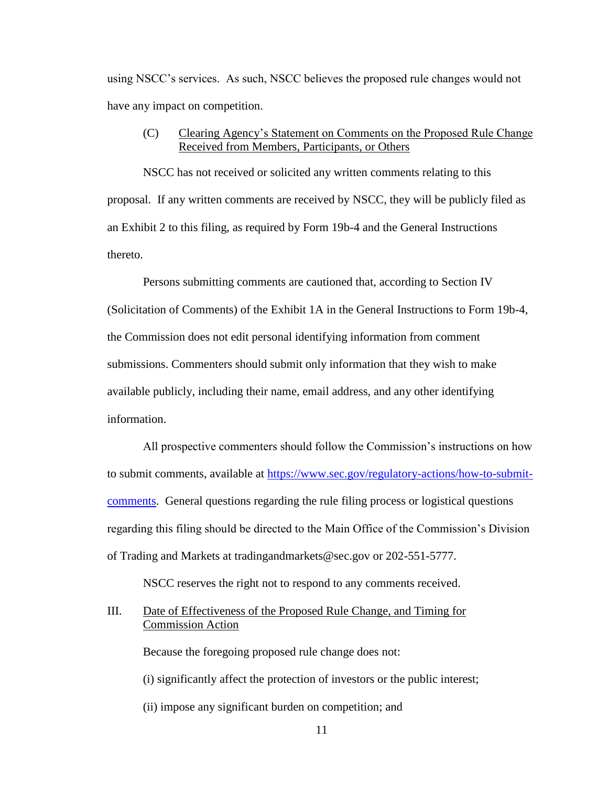using NSCC's services. As such, NSCC believes the proposed rule changes would not have any impact on competition.

## (C) Clearing Agency's Statement on Comments on the Proposed Rule Change Received from Members, Participants, or Others

NSCC has not received or solicited any written comments relating to this proposal. If any written comments are received by NSCC, they will be publicly filed as an Exhibit 2 to this filing, as required by Form 19b-4 and the General Instructions thereto.

Persons submitting comments are cautioned that, according to Section IV (Solicitation of Comments) of the Exhibit 1A in the General Instructions to Form 19b-4, the Commission does not edit personal identifying information from comment submissions. Commenters should submit only information that they wish to make available publicly, including their name, email address, and any other identifying information.

All prospective commenters should follow the Commission's instructions on how to submit comments, available at [https://www.sec.gov/regulatory-actions/how-to-submit](https://www.sec.gov/regulatory-actions/how-to-submit-comments)[comments.](https://www.sec.gov/regulatory-actions/how-to-submit-comments) General questions regarding the rule filing process or logistical questions regarding this filing should be directed to the Main Office of the Commission's Division of Trading and Markets at tradingandmarkets@sec.gov or 202-551-5777.

NSCC reserves the right not to respond to any comments received.

III. Date of Effectiveness of the Proposed Rule Change, and Timing for Commission Action

Because the foregoing proposed rule change does not:

(i) significantly affect the protection of investors or the public interest;

(ii) impose any significant burden on competition; and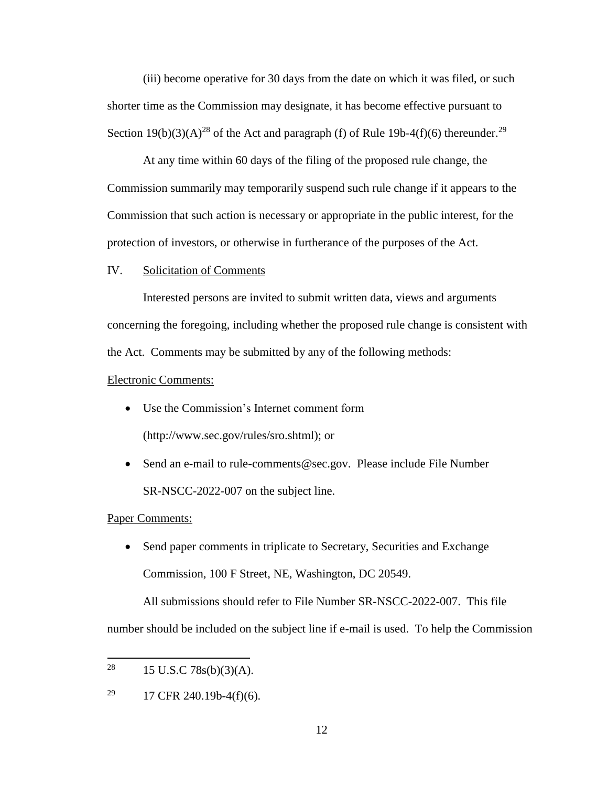(iii) become operative for 30 days from the date on which it was filed, or such shorter time as the Commission may designate, it has become effective pursuant to Section 19(b)(3)(A)<sup>28</sup> of the Act and paragraph (f) of Rule 19b-4(f)(6) thereunder.<sup>29</sup>

At any time within 60 days of the filing of the proposed rule change, the Commission summarily may temporarily suspend such rule change if it appears to the Commission that such action is necessary or appropriate in the public interest, for the protection of investors, or otherwise in furtherance of the purposes of the Act.

#### IV. Solicitation of Comments

Interested persons are invited to submit written data, views and arguments concerning the foregoing, including whether the proposed rule change is consistent with the Act. Comments may be submitted by any of the following methods:

#### Electronic Comments:

- Use the Commission's Internet comment form (http://www.sec.gov/rules/sro.shtml); or
- Send an e-mail to rule-comments@sec.gov. Please include File Number SR-NSCC-2022-007 on the subject line.

### Paper Comments:

• Send paper comments in triplicate to Secretary, Securities and Exchange Commission, 100 F Street, NE, Washington, DC 20549.

All submissions should refer to File Number SR-NSCC-2022-007.This file

number should be included on the subject line if e-mail is used. To help the Commission

<sup>28</sup> 15 U.S.C  $78s(b)(3)(A)$ .

<sup>&</sup>lt;sup>29</sup> 17 CFR 240.19b-4(f)(6).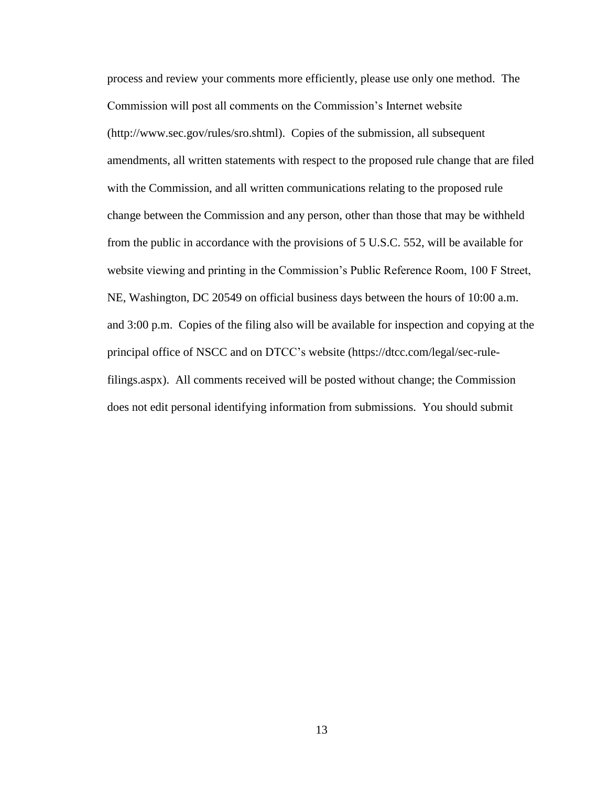process and review your comments more efficiently, please use only one method. The Commission will post all comments on the Commission's Internet website (http://www.sec.gov/rules/sro.shtml). Copies of the submission, all subsequent amendments, all written statements with respect to the proposed rule change that are filed with the Commission, and all written communications relating to the proposed rule change between the Commission and any person, other than those that may be withheld from the public in accordance with the provisions of 5 U.S.C. 552, will be available for website viewing and printing in the Commission's Public Reference Room, 100 F Street, NE, Washington, DC 20549 on official business days between the hours of 10:00 a.m. and 3:00 p.m. Copies of the filing also will be available for inspection and copying at the principal office of NSCC and on DTCC's website (https://dtcc.com/legal/sec-rulefilings.aspx). All comments received will be posted without change; the Commission does not edit personal identifying information from submissions. You should submit